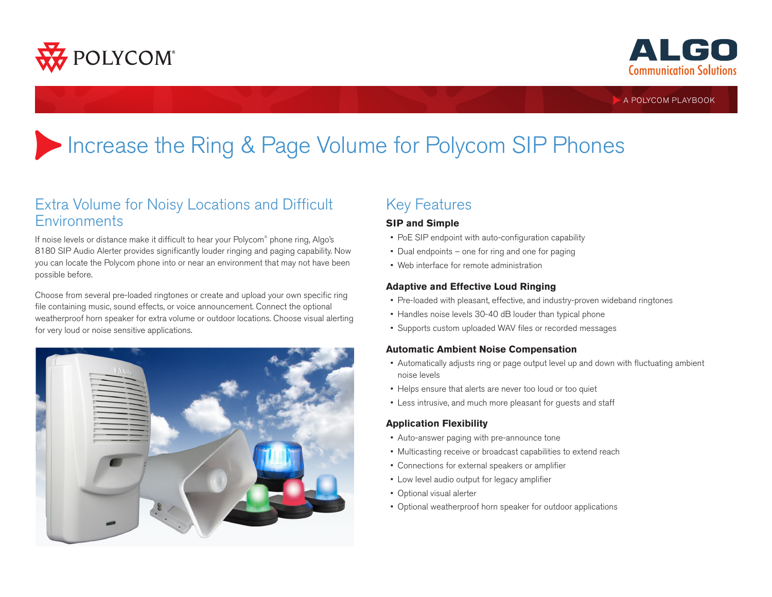



A POLYCOM PLAYBOOK

# Increase the Ring & Page Volume for Polycom SIP Phones

### Extra Volume for Noisy Locations and Difficult **Environments**

If noise levels or distance make it difficult to hear your Polycom® phone ring, Algo's 8180 SIP Audio Alerter provides significantly louder ringing and paging capability. Now you can locate the Polycom phone into or near an environment that may not have been possible before.

Choose from several pre-loaded ringtones or create and upload your own specific ring file containing music, sound effects, or voice announcement. Connect the optional weatherproof horn speaker for extra volume or outdoor locations. Choose visual alerting for very loud or noise sensitive applications.



# Key Features

#### **SIP and Simple**

- PoE SIP endpoint with auto-configuration capability
- Dual endpoints one for ring and one for paging
- Web interface for remote administration

#### **Adaptive and Effective Loud Ringing**

- Pre-loaded with pleasant, effective, and industry-proven wideband ringtones
- Handles noise levels 30-40 dB louder than typical phone
- Supports custom uploaded WAV files or recorded messages

#### **Automatic Ambient Noise Compensation**

- Automatically adjusts ring or page output level up and down with fluctuating ambient noise levels
- Helps ensure that alerts are never too loud or too quiet
- Less intrusive, and much more pleasant for guests and staff

#### **Application Flexibility**

- Auto-answer paging with pre-announce tone
- Multicasting receive or broadcast capabilities to extend reach
- Connections for external speakers or amplifier
- Low level audio output for legacy amplifier
- Optional visual alerter
- Optional weatherproof horn speaker for outdoor applications